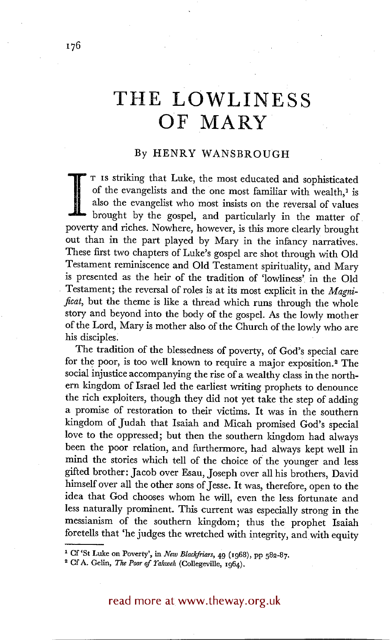## **TttE LOWLINESS OF MARY**

## By HENRY WANSBROUGH

I Is striking that Luke, the most educated and sophisticated of the evangelists and the one most familiar with wealth,<sup>1</sup> is also the evangelist who most insists on the reversal of values brought by the gospel, and particu of the evangelists and the one most familiar with wealth,<sup>1</sup> is also the evangelist who most insists on the reversal of values poverty and riches. Nowhere, however, is this more clearly brought out than in the part played by Mary in the infancy narratives. These first two chapters of Luke's gospel are shot through with Old Testament reminiscence and Old Testament spirituality, and Mary is presented as the heir of the tradition of 'lowliness' in the Old • Testament; the reversal of roles is at its most explicit in the *Magnificat,* but the theme is like a thread which runs through the whole story and beyond into the body of the gospel. As the lowly mother of the Lord, Mary is mother also of the Church of the lowly who are his disciples:

The tradition of the blessedness of poverty, of God's special care for the poor, is too well known to require a major exposition.<sup>2</sup> The social injustice accompanying the rise of a wealthy class in the northern kingdom of Israel led the earliest writing prophets to denounce the rich exploiters, though they did not yet take the step of adding a promise of restoration to their victims. It was in the southern kingdom of Judah that Isaiah and Micah promised God's special love to the oppressed; but then the southern kingdom had always been the poor relation, and furthermore, had always kept well in mind the stories which tell of the choice of the younger and less gifted brother: Jacob over Esau, Joseph over all his brothers, David himself over all the other sons of Jesse. It was, therefore, open to the idea that God chooses whom he will, even the less fortunate and less naturally prominent. This current was especially strong in the messianism of the southern kingdom; thus the prophet Isaiah foretells that 'he judges the wretched with integrity, and with equity

read more at www.theway.org.uk

<sup>&</sup>lt;sup>1</sup> Cf 'St Luke on Poverty', in *New Blackfriars*, 49 (1968), pp 582-87.

<sup>&</sup>lt;sup>2</sup> Cf A. Gelin, *The Poor of Yahweh* (Collegeville, 1964).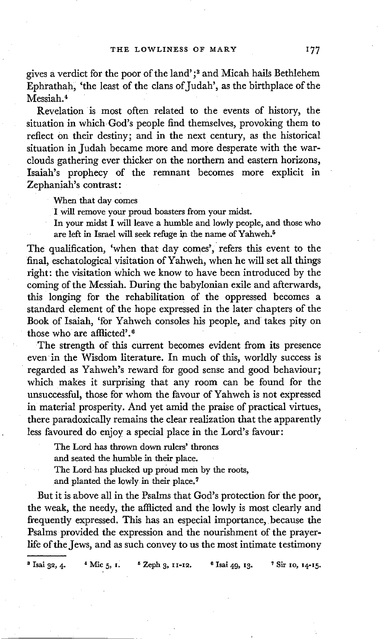gives a verdict for the poor of the land' ;8 and Micah hails Bethlehem Ephrathah, 'the least of the clans of Judah', as the birthplace of the Messiah. 4

Revelation is most often related to the events of history, the situation in which God's people find themselves, provoking them to reflect on their destiny; and in the next century, as the historical situation in Judah became more and more desperate with the warclouds gathering ever thicker on the northern and eastern horizons, Isaiah's prophecy of the remnant becomes more explicit in Zephaniah's contrast:

When that day comes

I will remove your proud boasters from your midst.

In your midst I will leave a humble and lowly people, and those who are left in Israel will seek refuge in the name of Yahweh.<sup>5</sup>

The qualification, 'when that day comes', refers this event to the final, eschatological visitation of Yahweh, when he will set all things right: the visitation which we know to have been introduced by the coming of the Messiah. During the babylonian exile and afterwards, this longing for the rehabilitation of the oppressed becomes a standard element of the hope expressed in the later chapters of the Book of Isaiah, 'for Yahweh consoles his people, and takes pity on those who are afflicted'. 6

The strength of this current becomes evident from its presence even in the Wisdom literature. In much of this, worldly success is regarded as Yahweh's reward for good sense and good behaviour; which makes it surprising that any room can be found for the unsuccessful, those for whom the favour of Yahweh is not expressed in material prosperity. And yet amid the praise of practical virtues, there paradoxically remains the clear realization that the apparently less favoured do enjoy a special place in the Lord's favour:

The Lord has thrown down rulers' thrones

and seated the humble in their place.

The Lord has plucked up proud men by the roots,

and planted the lowly in their place.<sup>7</sup>

But it is above all in the Psalms that God's protection for the poor, the weak, the needy, the afflicted and the lowly is most clearly and frequently expressed. This has an especial importance, because the Psalms provided the expression and the nourishment of the prayerlife of the Jews, and as such convey to us the most intimate testimony

<sup>8</sup> Isai 32, 4. <sup>4</sup> Mic 5, I. <sup>5</sup> Zeph 3, 11-12. <sup>6</sup> Isai 49, 13. <sup>7</sup> Sir 10, 14-15.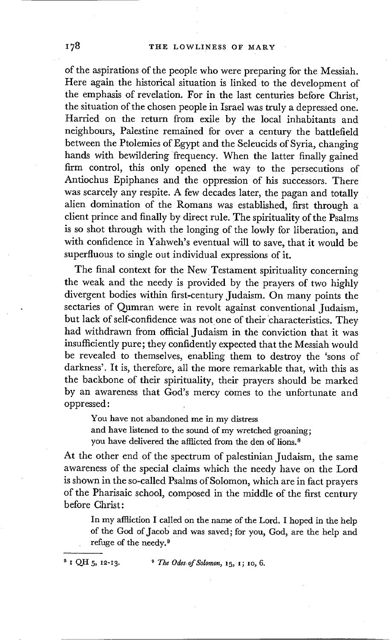of the aspirations of the people who were preparing for the Messiah. Here again the historical situation is linked to the development of the emphasis of revelation. For in the last centuries before Christ, the situation of the chosen people in Israel was truly a depressed one. Harried on the return from exile by the local inhabitants and neighbours, Palestine remained for over a century the battlefield between the Ptolemies of Egypt and the Seleucids of Syria, changing hands with bewildering frequency. When the latter finally gained firm control, this only opened the way to the persecutions of Antiochus Epiphanes and the oppression of his successors. There was scarcely any respite. A few decades later, the pagan and totally alien domination of the Romans was established, first through a client prince and finally by direct rule. The spirituality of the Psalms is so shot through with the longing of the lowly for liberation, and with confidence in Yahweh's eventual will to save, that it would be superfluous to single out individual expressions of it.

The final context for the New Testament spirituality concerning the weak and the needy is provided by the prayers of two highly divergent bodies within first-century Judaism. On many points the sectaries of Qumran were in revolt against conventional Judaism, but lack of self-confidence was not one of their 'characteristics. They had withdrawn from official Judaism in the conviction that it was insufficiently pure; they confidently expected that the Messiah would be revealed to themselves, enabling them to destroy the 'sons of darkness'. It is, therefore, all the more remarkable that, with this as the backbone of their spirituality, their prayers should be marked by an awareness that God's mercy comes to the unfortunate and oppressed:

You have not abandoned me in my distress and have listened to the sound of my wretched groaning; you have delivered the afflicted from the den of lions.<sup>8</sup>

At the other end of the spectrum of palestinian Judaism, the same awareness of the special claims which the needy have on the Lord is shown in the so-called Psalms of Solomon, which are in fact prayers of the Pharisaic school, composed in the middle of the first century before Christ:

In my affliction I called on the name of the Lord. I hoped in the help of the God of Jacob and was saved; for you, God, are the help and refuge of the needy. $9$ 

 $8 \text{ I QH } 5$ , 12-13.  $9 \text{ The Odes of Solomon}$ , 15, 1; 10, 6.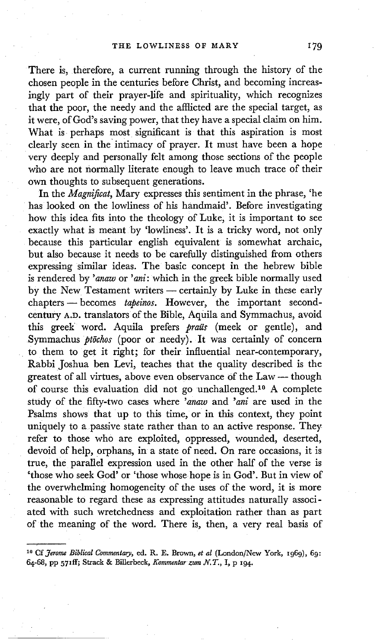There is, therefore, a current running through the history of the chosen people in the centuries before Christ, and becoming increasingly part of their prayer-life and spirituality, which recognizes that the poor, the needy and the afflicted are the special target, as it were, of God's saving power, that they have a special claim on him. What is perhaps most significant is that this aspiration is most clearly seen in the intimacy of prayer. It must have been a hope very deeply and personally felt among those sections of the people who are not normally literate enough to leave much trace of their own thoughts to subsequent generations.

In the *Magnificat,* Mary expresses this sentiment in the phrase, 'he has looked on the lowliness of his handmaid'. Before investigating how this idea fits into the theology of Luke, it is important to see exactly what is meant by 'lowliness'. It is a tricky word, not only because this particular english equivalent is somewhat archaic, but also because it needs to be carefully distinguished from others expressing similar ideas. The basic concept in the hebrew bible is rendered by *'anaw* or *'ani:* which in the greek bible normally used by the New Testament writers - certainly by Luke in these early chapters -- becomes *tapeinos*. However, the important secondcentury A.D. translators of the Bible, Aquila and Symmachus, avoid this greek word. Aquila prefers *praiis* (meek or gentle), and Symmachus *ptōchos* (poor or needy). It was certainly of concern to them to get it right; for their influential near-contemporary, Rabbi Joshua ben Levi, teaches that the quality described is the greatest of all virtues, above even observance of the Law -- though of course this evaluation did not go unchallenged.<sup>10</sup> A complete study of the fifty-two cases where *'anaw* and *'ani* are used in the Psalms shows that up to this time, or in this context, they point uniquely to a passive state rather than to an active response. They refer to those who are exploited, oppressed, wounded, deserted, devoid of help, orphans, in a state of need. On rare occasions, it is true, the parallel expression used in the other half of the verse is 'those who seek God' or 'those whose hope is in God'. But in view of the overwhelming homogeneity of the uses of the word, it is more reasonable to regard these as expressing attitudes naturally associated with such wretchedness and exploitation rather than as part of the meaning of the word. There is, then, a very real basis of

<sup>&</sup>lt;sup>10</sup> Cf *Jerome Biblical Commentary*, ed. R. E. Brown, *et al* (London/New York, 1969), 69: 64-68, pp 571ff; Strack & Billerbeck, *Kommentar zum N.T.*, I, p 194.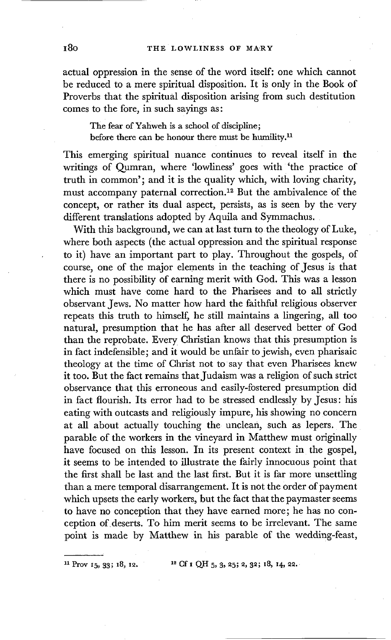actual oppression in the sense of the word itself: one which cannot be reduced to a mere spiritual disposition. It is only in the Book of Proverbs that the spiritual disposition arising from such destitution comes to the fore, in such sayings as:

The fear of Yahweh is a school of discipline; before there can be honour there must be humility, $<sup>n</sup>$ </sup>

This emerging spiritual nuance continues to reveal itself in the writings of Qumran, where 'lowliness' goes with 'the practice of truth in common'; and it is the quality which, with loving charity, must accompany paternal correction.<sup>12</sup> But the ambivalence of the concept, or rather its dual aspect, persists, as is seen by the very different translations adopted by Aquila and Symmachus.

With this background, we can at last turn to the theology of Luke, where both aspects (the actual oppression and the spiritual response to it) have an important part to play. Throughout the gospels, of course, one of the major elements in the teaching of Jesus is that there is no possibility of earning merit with God. This was a lesson which must have come hard to the Pharisees and to all strictly observant Jews. No matter how hard the faithful religious observer repeats this truth to himself, he still maintains a lingering, all too natural, presumption that he has after all deserved better of God than the reprobate. Every Christian knows that this presumption is in fact indefensible; and it would be unfair to jewish, even pharisaic theology at the time of Christ not to say that even Pharisees knew it too. But the fact remains that Judaism was a religion of such strict observance that this erroneous and easily-fostered presumption did in fact flourish. Its error had to be stressed endlessly by Jesus: his eating with outcasts and religiously impure, his showing no concern at all about actually touching the unclean, such as lepers. The parable of the workers in the vineyard in Matthew must originally have focused on this lesson. In its present context in the gospel, it seems to be intended to illustrate the fairly innocuous point that the first shall be last and the last first. But it is far more unsettling than a mere temporal disarrangement. It is not the order of payment which upsets the early workers, but the fact that the paymaster seems to have no conception that they have earned more; he has no conception of deserts. To him merit seems to be irrelevant. The same point is made by Matthew in his parable of the wedding-feast,

<sup>11</sup> Prov  $15, 33$ ;  $18, 12$ .  $12$  Cf  $1$  QH  $5, 3, 25$ ;  $2, 32$ ;  $18, 14, 22$ .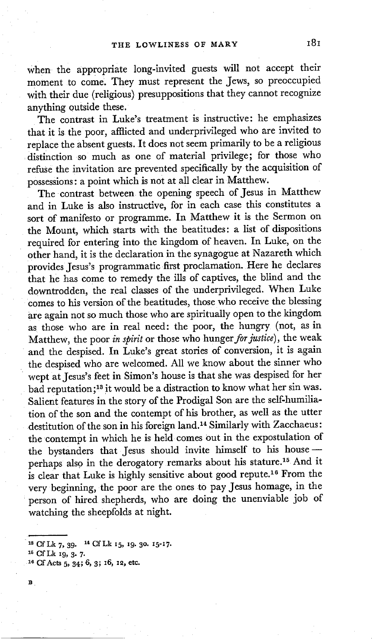when the appropriate long-invited guests will not accept their moment to come. They must represent the Jews, so preoccupied with their due (religious) presuppositions that they cannot recognize anything outside these.

The contrast in Luke's treatment is instructive: he emphasizes that it is the poor, afflicted and underprivileged who are invited to replace the absent guests, It does not seem primarily to be a religious distinction so much as one of material privilege; for those who refuse the invitation are prevented specifically by the acquisition of possessions: a point which is not at all clear in Matthew.

The contrast between the opening speech of Jesus in Matthew and in Luke is also instructive, for in each case this constitutes a sort of manifesto or programme. In Matthew it is the Sermon on the Mount, which starts with the beatitudes: a list of dispositions required for entering into the kingdom of heaven. In Luke, on the other hand, it is the declaration in the synagogue at Nazareth which provides Jesus's programmatic first proclamation. Here he declares that he has come to remedy the ills of captives, the blind and the downtrodden, the real classes of the underprivileged. When Luke comes to his version of the beatitudes, those who receive the blessing are again not so much those who are spiritually open to the kingdom as those who are in real need: the poor, the hungry (not, as in Matthew, the poor *in spirit* or those who *hunger for justice),* the weak and the despised. In Luke's great stories of conversion, it is again the despised who are welcomed. All we know about the sinner who wept at Jesus's feet in Simon's house is that she was despised for her bad reputation; 18 it would be a distraction to know what her sin was. Salient features in the story of the Prodigal Son are the self-humiliation of the son and the contempt of his brother, as well as the utter destitution of the son in his foreign land. 14 Similarly with Zacchaeus: the contempt in which he is held comes out in the expostulation of the bystanders that Jesus should invite himself to his house perhaps also in the derogatory remarks about his stature.<sup>15</sup> And it is clear that Luke is highly sensitive about good repute.<sup>16</sup> From the very beginning, the poor are the ones to pay Jesus homage, in the person of hired shepherds, who are doing the unenviable job of watching the sheepfolds at night.

<sup>13</sup> Cf Lk 7, 39. <sup>14</sup> Cf Lk 15, 19. 30. 15-17.

Is Cf Lk 19, 3. 7.

<sup>&</sup>lt;sup>16</sup> Gf Acts 5, 34; 6, 3; 16, 12, etc.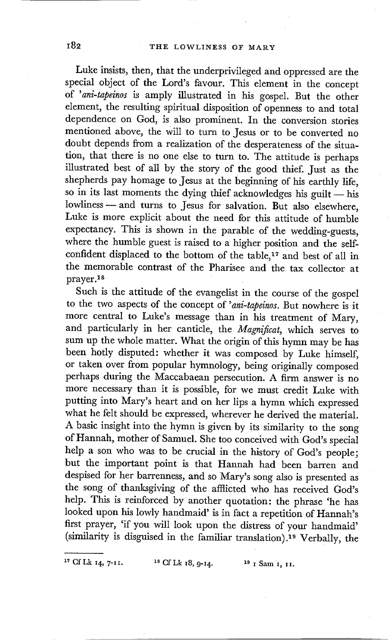Luke insists, then, that the underprivileged and oppressed are the special object of the Lord's favour. This element in the concept of *'ani-tapeinos* is amply illustrated in his gospel. But the other element, the resulting spiritual disposition of openness to and total dependence on God, is also prominent. In the conversion stories mentioned above, the will to turn to Jesus or to be converted no doubt depends from a realization of the desperateness of the situation, that there is no one else to turn to. The attitude is perhaps illustrated best of all by the story of the good thief. Just as the shepherds pay homage to Jesus at the beginning of his earthly life, so in its last moments the dying thief acknowledges his guilt  $-$  his lowliness - and turns to Jesus for salvation. But also elsewhere, Luke is more explicit about the need for this attitude of humble expectancy. This is shown in the parable of the wedding-guests, where the humble guest is raised to a higher position and the selfconfident displaced to the bottom of the table,<sup>17</sup> and best of all in the memorable contrast of the Pharisee and the tax collector at prayer, is

Such is the attitude of the evangelist in the course of the gospel to the two aspects of the concept of *'ani-tapeinos.* But nowhere is it more central to Luke's message than in his treatment of Mary, and particularly in her canticle, the *Magnificat,* which serves to sum up the whole matter. What the origin of this hymn may be has been hotly disputed: whether it was composed by Luke himself, or taken over from popular hymnology, being originally composed perhaps during the Maccabaean persecution. A firm answer is no more necessary than it is possible, for we must credit Luke with putting into Mary's heart and on her lips a hymn which expressed what he felt should be expressed, wherever he derived the material. A basic insight into the hymn is given by its similarity to the song of Hannah, mother of Samuel. She too conceived with God's special help a son who was to be crucial in the history of God's people; but the important point is that Hannah had been barren and despised for her barrenness, and so Mary's song also is presented as the song of thanksgiving of the afflicted who has received God's help. This is reinforced by another quotation: the phrase 'he has looked upon his lowly handmaid' is in fact a repetition of Hannah's first prayer, 'if you will look upon the distress of your handmaid' (similarity is disguised in the familiar translation). 19 Verbally, the

<sup>17</sup> Cf Lk 14, 7-11. <sup>18</sup> Cf Lk 18, 9-14. <sup>19</sup> I Sam 1, 11.